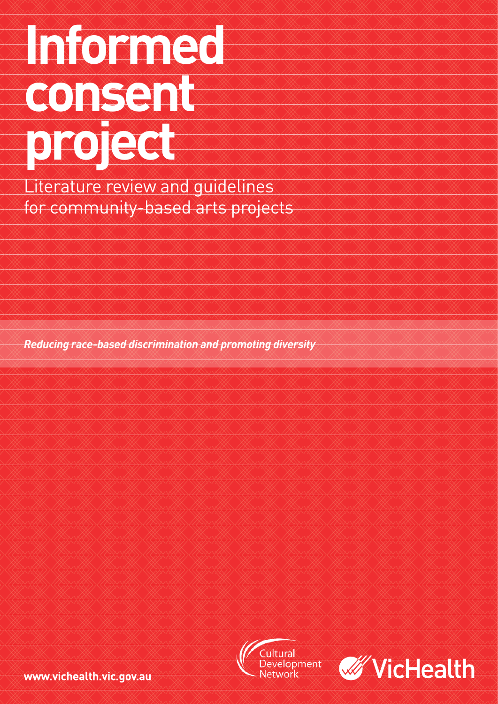# **Informed consent project**

Literature review and guidelines for community-based arts projects

*Reducing race-based discrimination and promoting diversity*





www.vichealth.vic.gov.au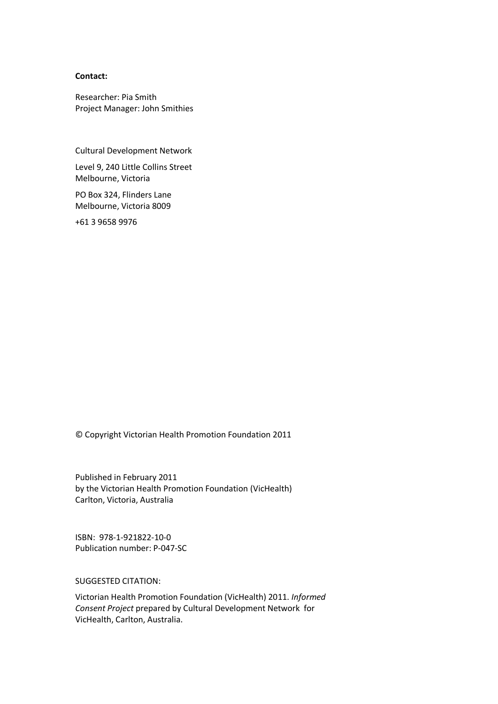#### **Contact:**

Researcher: Pia Smith Project Manager: John Smithies

Cultural Development Network

Level 9, 240 Little Collins Street Melbourne, Victoria

PO Box 324, Flinders Lane Melbourne, Victoria 8009

+61 3 9658 9976

© Copyright Victorian Health Promotion Foundation 2011

Published in February 2011 by the Victorian Health Promotion Foundation (VicHealth) Carlton, Victoria, Australia

ISBN: 978-1-921822-10-0 Publication number: P-047-SC

SUGGESTED CITATION:

Victorian Health Promotion Foundation (VicHealth) 2011. *Informed Consent Project* prepared by Cultural Development Network for VicHealth, Carlton, Australia.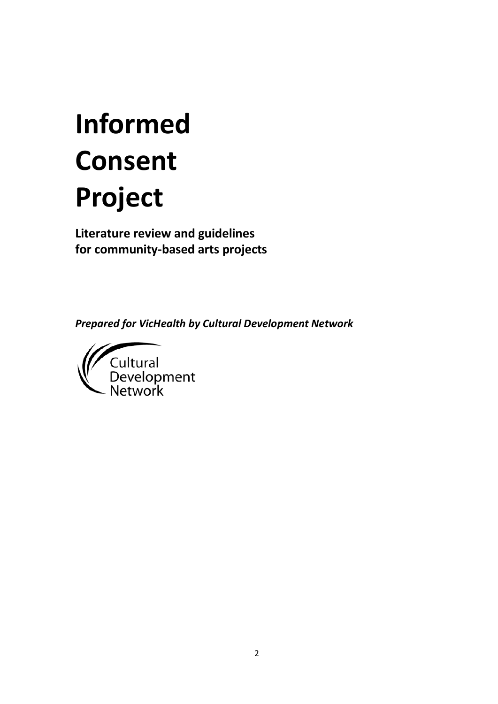# **Informed Consent Project**

**Literature review and guidelines for community-based arts projects**

*Prepared for VicHealth by Cultural Development Network*

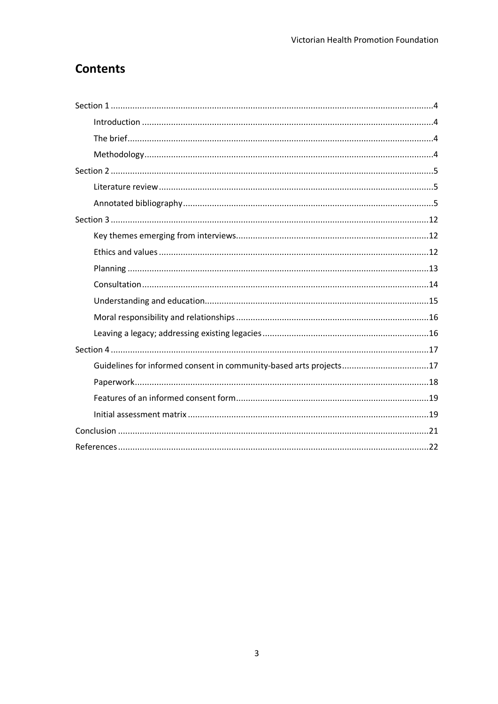#### **Contents**

| Guidelines for informed consent in community-based arts projects17 |
|--------------------------------------------------------------------|
|                                                                    |
|                                                                    |
|                                                                    |
|                                                                    |
|                                                                    |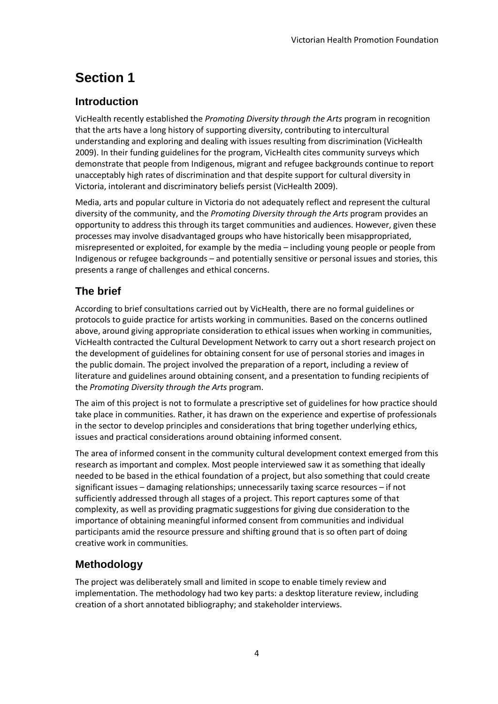# <span id="page-4-0"></span>**Section 1**

#### <span id="page-4-1"></span>**Introduction**

VicHealth recently established the *Promoting Diversity through the Arts* program in recognition that the arts have a long history of supporting diversity, contributing to intercultural understanding and exploring and dealing with issues resulting from discrimination (VicHealth 2009). In their funding guidelines for the program, VicHealth cites community surveys which demonstrate that people from Indigenous, migrant and refugee backgrounds continue to report unacceptably high rates of discrimination and that despite support for cultural diversity in Victoria, intolerant and discriminatory beliefs persist (VicHealth 2009).

Media, arts and popular culture in Victoria do not adequately reflect and represent the cultural diversity of the community, and the *Promoting Diversity through the Arts* program provides an opportunity to address this through its target communities and audiences. However, given these processes may involve disadvantaged groups who have historically been misappropriated, misrepresented or exploited, for example by the media – including young people or people from Indigenous or refugee backgrounds – and potentially sensitive or personal issues and stories, this presents a range of challenges and ethical concerns.

#### <span id="page-4-2"></span>**The brief**

According to brief consultations carried out by VicHealth, there are no formal guidelines or protocols to guide practice for artists working in communities. Based on the concerns outlined above, around giving appropriate consideration to ethical issues when working in communities, VicHealth contracted the Cultural Development Network to carry out a short research project on the development of guidelines for obtaining consent for use of personal stories and images in the public domain. The project involved the preparation of a report, including a review of literature and guidelines around obtaining consent, and a presentation to funding recipients of the *Promoting Diversity through the Arts* program.

The aim of this project is not to formulate a prescriptive set of guidelines for how practice should take place in communities. Rather, it has drawn on the experience and expertise of professionals in the sector to develop principles and considerations that bring together underlying ethics, issues and practical considerations around obtaining informed consent.

The area of informed consent in the community cultural development context emerged from this research as important and complex. Most people interviewed saw it as something that ideally needed to be based in the ethical foundation of a project, but also something that could create significant issues – damaging relationships; unnecessarily taxing scarce resources – if not sufficiently addressed through all stages of a project. This report captures some of that complexity, as well as providing pragmatic suggestions for giving due consideration to the importance of obtaining meaningful informed consent from communities and individual participants amid the resource pressure and shifting ground that is so often part of doing creative work in communities.

#### <span id="page-4-3"></span>**Methodology**

The project was deliberately small and limited in scope to enable timely review and implementation. The methodology had two key parts: a desktop literature review, including creation of a short annotated bibliography; and stakeholder interviews.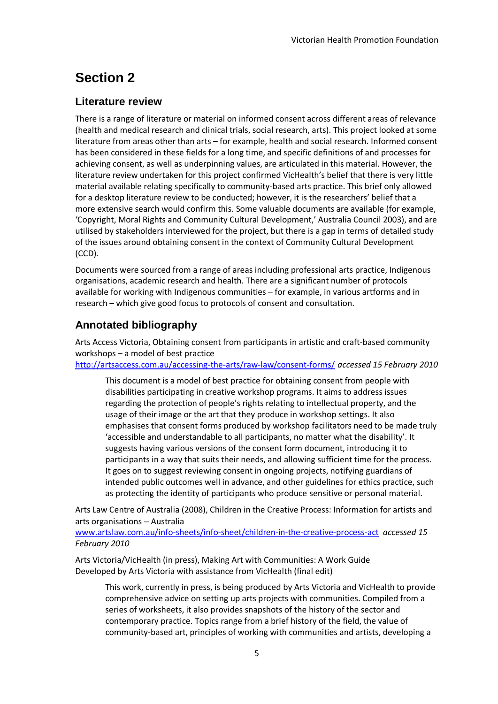# <span id="page-5-0"></span>**Section 2**

#### <span id="page-5-1"></span>**Literature review**

There is a range of literature or material on informed consent across different areas of relevance (health and medical research and clinical trials, social research, arts). This project looked at some literature from areas other than arts – for example, health and social research. Informed consent has been considered in these fields for a long time, and specific definitions of and processes for achieving consent, as well as underpinning values, are articulated in this material. However, the literature review undertaken for this project confirmed VicHealth's belief that there is very little material available relating specifically to community-based arts practice. This brief only allowed for a desktop literature review to be conducted; however, it is the researchers' belief that a more extensive search would confirm this. Some valuable documents are available (for example, 'Copyright, Moral Rights and Community Cultural Development,' Australia Council 2003), and are utilised by stakeholders interviewed for the project, but there is a gap in terms of detailed study of the issues around obtaining consent in the context of Community Cultural Development (CCD).

Documents were sourced from a range of areas including professional arts practice, Indigenous organisations, academic research and health. There are a significant number of protocols available for working with Indigenous communities – for example, in various artforms and in research – which give good focus to protocols of consent and consultation.

#### <span id="page-5-2"></span>**Annotated bibliography**

Arts Access Victoria, Obtaining consent from participants in artistic and craft-based community workshops – a model of best practice

<http://artsaccess.com.au/accessing-the-arts/raw-law/consent-forms/> *accessed 15 February 2010* 

This document is a model of best practice for obtaining consent from people with disabilities participating in creative workshop programs. It aims to address issues regarding the protection of people's rights relating to intellectual property, and the usage of their image or the art that they produce in workshop settings. It also emphasises that consent forms produced by workshop facilitators need to be made truly 'accessible and understandable to all participants, no matter what the disability'. It suggests having various versions of the consent form document, introducing it to participants in a way that suits their needs, and allowing sufficient time for the process. It goes on to suggest reviewing consent in ongoing projects, notifying guardians of intended public outcomes well in advance, and other guidelines for ethics practice, such as protecting the identity of participants who produce sensitive or personal material.

Arts Law Centre of Australia (2008), Children in the Creative Process: Information for artists and arts organisations − Australia

[www.artslaw.com.au/info-sheets/info-sheet/children-in-the-creative-process-act](http://www.artslaw.com.au/info-sheets/info-sheet/children-in-the-creative-process-act) *accessed 15 February 2010*

Arts Victoria/VicHealth (in press), Making Art with Communities: A Work Guide Developed by Arts Victoria with assistance from VicHealth (final edit)

This work, currently in press, is being produced by Arts Victoria and VicHealth to provide comprehensive advice on setting up arts projects with communities. Compiled from a series of worksheets, it also provides snapshots of the history of the sector and contemporary practice. Topics range from a brief history of the field, the value of community-based art, principles of working with communities and artists, developing a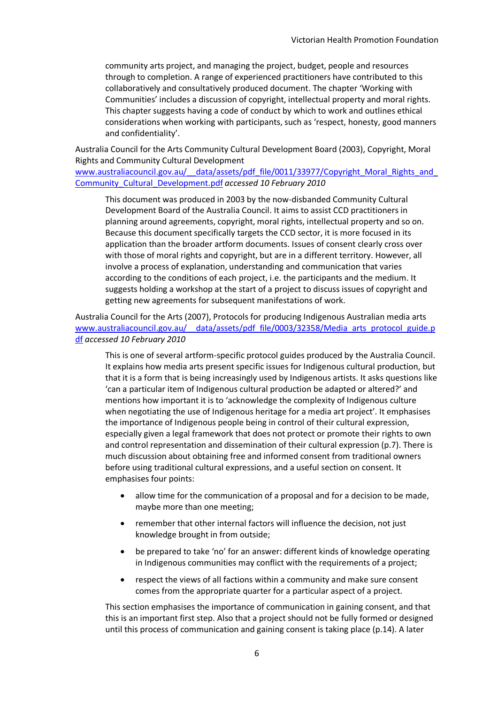community arts project, and managing the project, budget, people and resources through to completion. A range of experienced practitioners have contributed to this collaboratively and consultatively produced document. The chapter 'Working with Communities' includes a discussion of copyright, intellectual property and moral rights. This chapter suggests having a code of conduct by which to work and outlines ethical considerations when working with participants, such as 'respect, honesty, good manners and confidentiality'.

Australia Council for the Arts Community Cultural Development Board (2003), Copyright, Moral Rights and Community Cultural Development

www.australiacouncil.gov.au/ data/assets/pdf\_file/0011/33977/Copyright\_Moral\_Rights\_and [Community\\_Cultural\\_Development.pdf](http://www.australiacouncil.gov.au/__data/assets/pdf_file/0011/33977/Copyright_Moral_Rights_and_Community_Cultural_Development.pdf) *accessed 10 February 2010* 

This document was produced in 2003 by the now-disbanded Community Cultural Development Board of the Australia Council. It aims to assist CCD practitioners in planning around agreements, copyright, moral rights, intellectual property and so on. Because this document specifically targets the CCD sector, it is more focused in its application than the broader artform documents. Issues of consent clearly cross over with those of moral rights and copyright, but are in a different territory. However, all involve a process of explanation, understanding and communication that varies according to the conditions of each project, i.e. the participants and the medium. It suggests holding a workshop at the start of a project to discuss issues of copyright and getting new agreements for subsequent manifestations of work.

Australia Council for the Arts (2007), Protocols for producing Indigenous Australian media arts [www.australiacouncil.gov.au/\\_\\_data/assets/pdf\\_file/0003/32358/Media\\_arts\\_protocol\\_guide.p](http://www.australiacouncil.gov.au/__data/assets/pdf_file/0003/32358/Media_arts_protocol_guide.pdf) [df](http://www.australiacouncil.gov.au/__data/assets/pdf_file/0003/32358/Media_arts_protocol_guide.pdf) *accessed 10 February 2010* 

This is one of several artform-specific protocol guides produced by the Australia Council. It explains how media arts present specific issues for Indigenous cultural production, but that it is a form that is being increasingly used by Indigenous artists. It asks questions like 'can a particular item of Indigenous cultural production be adapted or altered?' and mentions how important it is to 'acknowledge the complexity of Indigenous culture when negotiating the use of Indigenous heritage for a media art project'. It emphasises the importance of Indigenous people being in control of their cultural expression, especially given a legal framework that does not protect or promote their rights to own and control representation and dissemination of their cultural expression (p.7). There is much discussion about obtaining free and informed consent from traditional owners before using traditional cultural expressions, and a useful section on consent. It emphasises four points:

- allow time for the communication of a proposal and for a decision to be made, maybe more than one meeting;
- remember that other internal factors will influence the decision, not just knowledge brought in from outside;
- be prepared to take 'no' for an answer: different kinds of knowledge operating in Indigenous communities may conflict with the requirements of a project;
- respect the views of all factions within a community and make sure consent comes from the appropriate quarter for a particular aspect of a project.

This section emphasises the importance of communication in gaining consent, and that this is an important first step. Also that a project should not be fully formed or designed until this process of communication and gaining consent is taking place (p.14). A later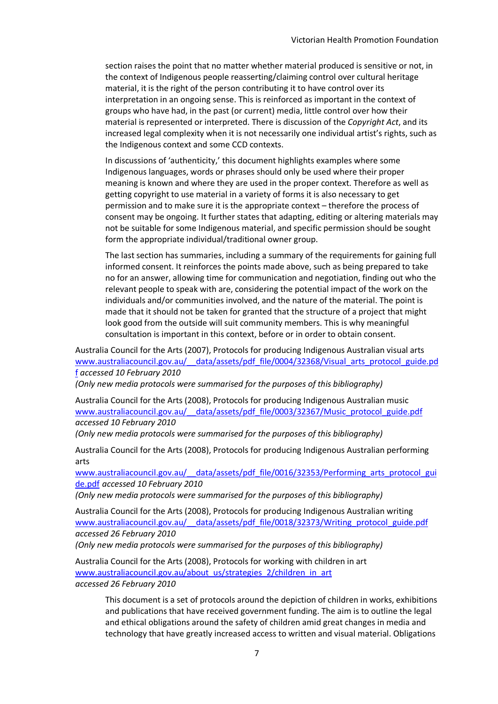section raises the point that no matter whether material produced is sensitive or not, in the context of Indigenous people reasserting/claiming control over cultural heritage material, it is the right of the person contributing it to have control over its interpretation in an ongoing sense. This is reinforced as important in the context of groups who have had, in the past (or current) media, little control over how their material is represented or interpreted. There is discussion of the *Copyright Act*, and its increased legal complexity when it is not necessarily one individual artist's rights, such as the Indigenous context and some CCD contexts.

In discussions of 'authenticity,' this document highlights examples where some Indigenous languages, words or phrases should only be used where their proper meaning is known and where they are used in the proper context. Therefore as well as getting copyright to use material in a variety of forms it is also necessary to get permission and to make sure it is the appropriate context – therefore the process of consent may be ongoing. It further states that adapting, editing or altering materials may not be suitable for some Indigenous material, and specific permission should be sought form the appropriate individual/traditional owner group.

The last section has summaries, including a summary of the requirements for gaining full informed consent. It reinforces the points made above, such as being prepared to take no for an answer, allowing time for communication and negotiation, finding out who the relevant people to speak with are, considering the potential impact of the work on the individuals and/or communities involved, and the nature of the material. The point is made that it should not be taken for granted that the structure of a project that might look good from the outside will suit community members. This is why meaningful consultation is important in this context, before or in order to obtain consent.

Australia Council for the Arts (2007), Protocols for producing Indigenous Australian visual arts www.australiacouncil.gov.au/ data/assets/pdf file/0004/32368/Visual arts protocol guide.pd [f](http://www.australiacouncil.gov.au/__data/assets/pdf_file/0004/32368/Visual_arts_protocol_guide.pdf) *accessed 10 February 2010*

*(Only new media protocols were summarised for the purposes of this bibliography)*

Australia Council for the Arts (2008), Protocols for producing Indigenous Australian music [www.australiacouncil.gov.au/\\_\\_data/assets/pdf\\_file/0003/32367/Music\\_protocol\\_guide.pdf](http://www.australiacouncil.gov.au/__data/assets/pdf_file/0003/32367/Music_protocol_guide.pdf) *accessed 10 February 2010*

*(Only new media protocols were summarised for the purposes of this bibliography)*

Australia Council for the Arts (2008), Protocols for producing Indigenous Australian performing arts

[www.australiacouncil.gov.au/\\_\\_data/assets/pdf\\_file/0016/32353/Performing\\_arts\\_protocol\\_gui](http://www.australiacouncil.gov.au/__data/assets/pdf_file/0016/32353/Performing_arts_protocol_guide.pdf) [de.pdf](http://www.australiacouncil.gov.au/__data/assets/pdf_file/0016/32353/Performing_arts_protocol_guide.pdf) *accessed 10 February 2010*

*(Only new media protocols were summarised for the purposes of this bibliography)*

Australia Council for the Arts (2008), Protocols for producing Indigenous Australian writing [www.australiacouncil.gov.au/\\_\\_data/assets/pdf\\_file/0018/32373/Writing\\_protocol\\_guide.pdf](http://www.australiacouncil.gov.au/__data/assets/pdf_file/0018/32373/Writing_protocol_guide.pdf) *accessed 26 February 2010*

*(Only new media protocols were summarised for the purposes of this bibliography)*

Australia Council for the Arts (2008), Protocols for working with children in art [www.australiacouncil.gov.au/about\\_us/strategies\\_2/children\\_in\\_art](http://www.australiacouncil.gov.au/about_us/strategies_2/children_in_art) *accessed 26 February 2010* 

> This document is a set of protocols around the depiction of children in works, exhibitions and publications that have received government funding. The aim is to outline the legal and ethical obligations around the safety of children amid great changes in media and technology that have greatly increased access to written and visual material. Obligations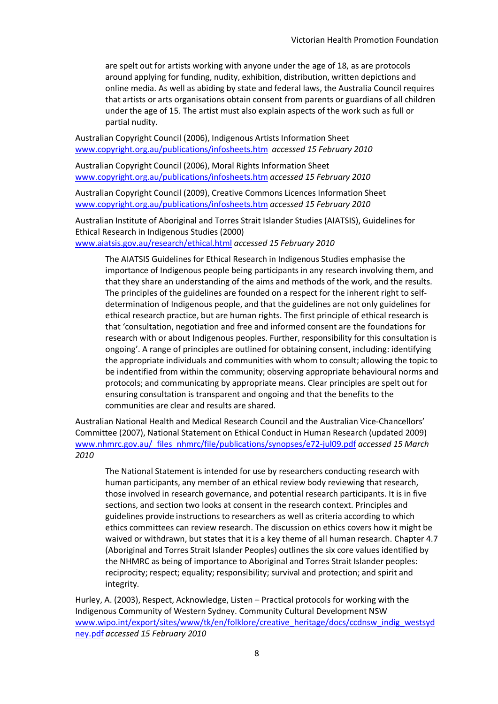are spelt out for artists working with anyone under the age of 18, as are protocols around applying for funding, nudity, exhibition, distribution, written depictions and online media. As well as abiding by state and federal laws, the Australia Council requires that artists or arts organisations obtain consent from parents or guardians of all children under the age of 15. The artist must also explain aspects of the work such as full or partial nudity.

Australian Copyright Council (2006), Indigenous Artists Information Sheet [www.copyright.org.au/publications/infosheets.htm](http://www.copyright.org.au/publications/infosheets.htm) *accessed 15 February 2010*

Australian Copyright Council (2006), Moral Rights Information Sheet [www.copyright.org.au/publications/infosheets.htm](http://www.copyright.org.au/publications/infosheets.htm) *accessed 15 February 2010*

Australian Copyright Council (2009), Creative Commons Licences Information Sheet [www.copyright.org.au/publications/infosheets.htm](http://www.copyright.org.au/publications/infosheets.htm) *accessed 15 February 2010*

Australian Institute of Aboriginal and Torres Strait Islander Studies (AIATSIS), Guidelines for Ethical Research in Indigenous Studies (2000) [www.aiatsis.gov.au/research/ethical.html](http://www.aiatsis.gov.au/research/ethical.html) *accessed 15 February 2010* 

The AIATSIS Guidelines for Ethical Research in Indigenous Studies emphasise the importance of Indigenous people being participants in any research involving them, and that they share an understanding of the aims and methods of the work, and the results. The principles of the guidelines are founded on a respect for the inherent right to selfdetermination of Indigenous people, and that the guidelines are not only guidelines for ethical research practice, but are human rights. The first principle of ethical research is that 'consultation, negotiation and free and informed consent are the foundations for research with or about Indigenous peoples. Further, responsibility for this consultation is ongoing'. A range of principles are outlined for obtaining consent, including: identifying the appropriate individuals and communities with whom to consult; allowing the topic to be indentified from within the community; observing appropriate behavioural norms and protocols; and communicating by appropriate means. Clear principles are spelt out for ensuring consultation is transparent and ongoing and that the benefits to the communities are clear and results are shared.

Australian National Health and Medical Research Council and the Australian Vice-Chancellors' Committee (2007), National Statement on Ethical Conduct in Human Research (updated 2009) [www.nhmrc.gov.au/\\_files\\_nhmrc/file/publications/synopses/e72-jul09.pdf](http://www.nhmrc.gov.au/_files_nhmrc/file/publications/synopses/e72-jul09.pdf) *accessed 15 March 2010* 

The National Statement is intended for use by researchers conducting research with human participants, any member of an ethical review body reviewing that research, those involved in research governance, and potential research participants. It is in five sections, and section two looks at consent in the research context. Principles and guidelines provide instructions to researchers as well as criteria according to which ethics committees can review research. The discussion on ethics covers how it might be waived or withdrawn, but states that it is a key theme of all human research. Chapter 4.7 (Aboriginal and Torres Strait Islander Peoples) outlines the six core values identified by the NHMRC as being of importance to Aboriginal and Torres Strait Islander peoples: reciprocity; respect; equality; responsibility; survival and protection; and spirit and integrity.

Hurley, A. (2003), Respect, Acknowledge, Listen – Practical protocols for working with the Indigenous Community of Western Sydney. Community Cultural Development NSW [www.wipo.int/export/sites/www/tk/en/folklore/creative\\_heritage/docs/ccdnsw\\_indig\\_westsyd](http://www.wipo.int/export/sites/www/tk/en/folklore/creative_heritage/docs/ccdnsw_indig_westsydney.pdf) [ney.pdf](http://www.wipo.int/export/sites/www/tk/en/folklore/creative_heritage/docs/ccdnsw_indig_westsydney.pdf) *accessed 15 February 2010*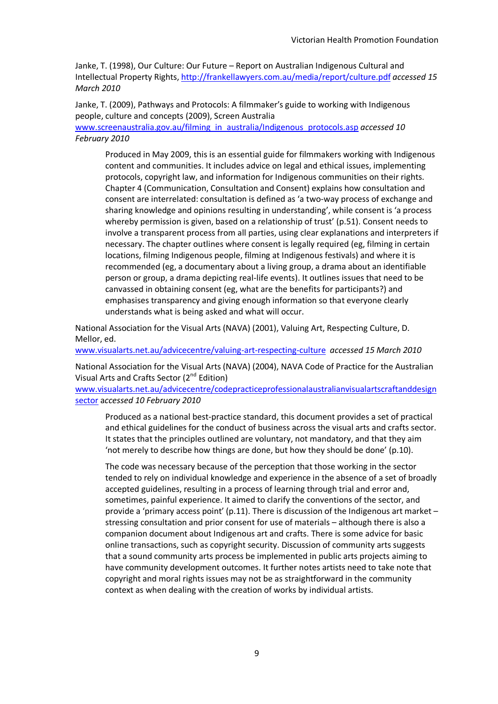Janke, T. (1998), Our Culture: Our Future – Report on Australian Indigenous Cultural and Intellectual Property Rights,<http://frankellawyers.com.au/media/report/culture.pdf> *accessed 15 March 2010* 

Janke, T. (2009), Pathways and Protocols: A filmmaker's guide to working with Indigenous people, culture and concepts (2009), Screen Australia

[www.screenaustralia.gov.au/filming\\_in\\_australia/Indigenous\\_protocols.asp](http://www.screenaustralia.gov.au/filming_in_australia/Indigenous_protocols.asp) *accessed 10 February 2010* 

Produced in May 2009, this is an essential guide for filmmakers working with Indigenous content and communities. It includes advice on legal and ethical issues, implementing protocols, copyright law, and information for Indigenous communities on their rights. Chapter 4 (Communication, Consultation and Consent) explains how consultation and consent are interrelated: consultation is defined as 'a two-way process of exchange and sharing knowledge and opinions resulting in understanding', while consent is 'a process whereby permission is given, based on a relationship of trust' (p.51). Consent needs to involve a transparent process from all parties, using clear explanations and interpreters if necessary. The chapter outlines where consent is legally required (eg, filming in certain locations, filming Indigenous people, filming at Indigenous festivals) and where it is recommended (eg, a documentary about a living group, a drama about an identifiable person or group, a drama depicting real-life events). It outlines issues that need to be canvassed in obtaining consent (eg, what are the benefits for participants?) and emphasises transparency and giving enough information so that everyone clearly understands what is being asked and what will occur.

National Association for the Visual Arts (NAVA) (2001), Valuing Art, Respecting Culture, D. Mellor, ed.

[www.visualarts.net.au/advicecentre/valuing-art-respecting-culture](http://www.visualarts.net.au/advicecentre/valuing-art-respecting-culture) *accessed 15 March 2010*

National Association for the Visual Arts (NAVA) (2004), NAVA Code of Practice for the Australian Visual Arts and Crafts Sector  $(2^{nd}$  Edition)

[www.visualarts.net.au/advicecentre/codepracticeprofessionalaustralianvisualartscraftanddesign](http://www.visualarts.net.au/advicecentre/codepracticeprofessionalaustralianvisualartscraftanddesignsector) [sector](http://www.visualarts.net.au/advicecentre/codepracticeprofessionalaustralianvisualartscraftanddesignsector) a*ccessed 10 February 2010*

Produced as a national best-practice standard, this document provides a set of practical and ethical guidelines for the conduct of business across the visual arts and crafts sector. It states that the principles outlined are voluntary, not mandatory, and that they aim 'not merely to describe how things are done, but how they should be done' (p.10).

The code was necessary because of the perception that those working in the sector tended to rely on individual knowledge and experience in the absence of a set of broadly accepted guidelines, resulting in a process of learning through trial and error and, sometimes, painful experience. It aimed to clarify the conventions of the sector, and provide a 'primary access point' (p.11). There is discussion of the Indigenous art market – stressing consultation and prior consent for use of materials – although there is also a companion document about Indigenous art and crafts. There is some advice for basic online transactions, such as copyright security. Discussion of community arts suggests that a sound community arts process be implemented in public arts projects aiming to have community development outcomes. It further notes artists need to take note that copyright and moral rights issues may not be as straightforward in the community context as when dealing with the creation of works by individual artists.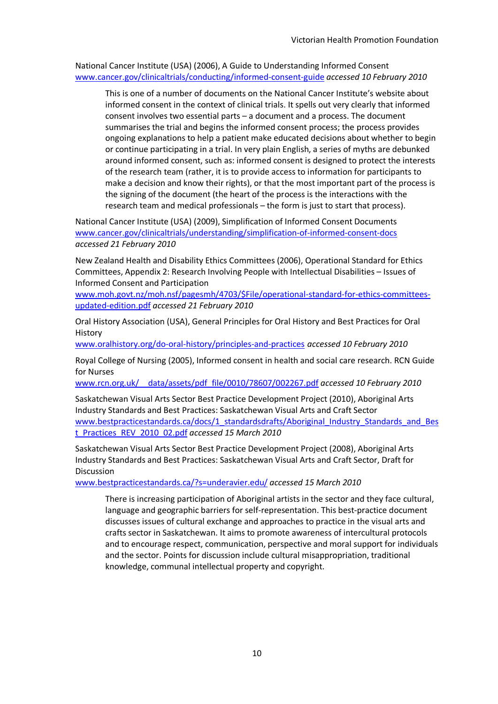National Cancer Institute (USA) (2006), A Guide to Understanding Informed Consent [www.cancer.gov/clinicaltrials/conducting/informed-consent-guide](http://www.cancer.gov/clinicaltrials/conducting/informed-consent-guide) *accessed 10 February 2010* 

This is one of a number of documents on the National Cancer Institute's website about informed consent in the context of clinical trials. It spells out very clearly that informed consent involves two essential parts – a document and a process. The document summarises the trial and begins the informed consent process; the process provides ongoing explanations to help a patient make educated decisions about whether to begin or continue participating in a trial. In very plain English, a series of myths are debunked around informed consent, such as: informed consent is designed to protect the interests of the research team (rather, it is to provide access to information for participants to make a decision and know their rights), or that the most important part of the process is the signing of the document (the heart of the process is the interactions with the research team and medical professionals – the form is just to start that process).

National Cancer Institute (USA) (2009), Simplification of Informed Consent Documents [www.cancer.gov/clinicaltrials/understanding/simplification-of-informed-consent-docs](http://www.cancer.gov/clinicaltrials/understanding/simplification-of-informed-consent-docs) *accessed 21 February 2010*

New Zealand Health and Disability Ethics Committees (2006), Operational Standard for Ethics Committees, Appendix 2: Research Involving People with Intellectual Disabilities – Issues of Informed Consent and Participation

[www.moh.govt.nz/moh.nsf/pagesmh/4703/\\$File/operational-standard-for-ethics-committees](http://www.moh.govt.nz/moh.nsf/pagesmh/4703/$File/operational-standard-for-ethics-committees-updated-edition.pdf)[updated-edition.pdf](http://www.moh.govt.nz/moh.nsf/pagesmh/4703/$File/operational-standard-for-ethics-committees-updated-edition.pdf) *accessed 21 February 2010*

Oral History Association (USA), General Principles for Oral History and Best Practices for Oral History

[www.oralhistory.org/do-oral-history/principles-and-practices](http://www.oralhistory.org/do-oral-history/principles-and-practices) *accessed 10 February 2010*

Royal College of Nursing (2005), Informed consent in health and social care research. RCN Guide for Nurses

[www.rcn.org.uk/\\_\\_data/assets/pdf\\_file/0010/78607/002267.pdf](http://www.rcn.org.uk/__data/assets/pdf_file/0010/78607/002267.pdf) *accessed 10 February 2010* 

Saskatchewan Visual Arts Sector Best Practice Development Project (2010), Aboriginal Arts Industry Standards and Best Practices: Saskatchewan Visual Arts and Craft Sector [www.bestpracticestandards.ca/docs/1\\_standardsdrafts/Aboriginal\\_Industry\\_Standards\\_and\\_Bes](http://www.bestpracticestandards.ca/docs/1_standardsdrafts/Aboriginal_Industry_Standards_and_Best_Practices_REV_2010_02.pdf) [t\\_Practices\\_REV\\_2010\\_02.pdf](http://www.bestpracticestandards.ca/docs/1_standardsdrafts/Aboriginal_Industry_Standards_and_Best_Practices_REV_2010_02.pdf) *accessed 15 March 2010*

Saskatchewan Visual Arts Sector Best Practice Development Project (2008), Aboriginal Arts Industry Standards and Best Practices: Saskatchewan Visual Arts and Craft Sector, Draft for Discussion

[www.bestpracticestandards.ca/?s=underavier.edu/](http://www.bestpracticestandards.ca/?s=underavier.edu/) *accessed 15 March 2010*

There is increasing participation of Aboriginal artists in the sector and they face cultural, language and geographic barriers for self-representation. This best-practice document discusses issues of cultural exchange and approaches to practice in the visual arts and crafts sector in Saskatchewan. It aims to promote awareness of intercultural protocols and to encourage respect, communication, perspective and moral support for individuals and the sector. Points for discussion include cultural misappropriation, traditional knowledge, communal intellectual property and copyright.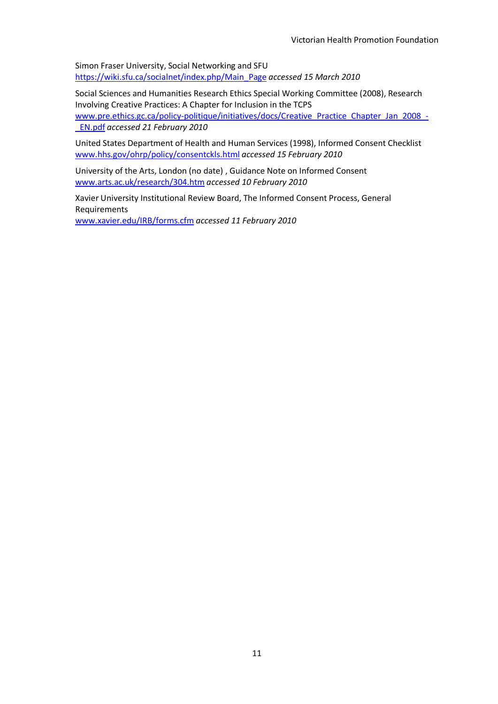Simon Fraser University, Social Networking and SFU [https://wiki.sfu.ca/socialnet/index.php/Main\\_Page](https://wiki.sfu.ca/socialnet/index.php/Main_Page) *accessed 15 March 2010*

Social Sciences and Humanities Research Ethics Special Working Committee (2008), Research Involving Creative Practices: A Chapter for Inclusion in the TCPS [www.pre.ethics.gc.ca/policy-politique/initiatives/docs/Creative\\_Practice\\_Chapter\\_Jan\\_2008\\_-](http://www.pre.ethics.gc.ca/policy-politique/initiatives/docs/Creative_Practice_Chapter_Jan_2008_-_EN.pdf) [\\_EN.pdf](http://www.pre.ethics.gc.ca/policy-politique/initiatives/docs/Creative_Practice_Chapter_Jan_2008_-_EN.pdf) *accessed 21 February 2010* 

United States Department of Health and Human Services (1998), Informed Consent Checklist [www.hhs.gov/ohrp/policy/consentckls.html](http://www.hhs.gov/ohrp/policy/consentckls.html) *accessed 15 February 2010* 

University of the Arts, London (no date) , Guidance Note on Informed Consent [www.arts.ac.uk/research/304.htm](http://www.arts.ac.uk/research/304.htm) *accessed 10 February 2010*

Xavier University Institutional Review Board, The Informed Consent Process, General Requirements [www.xavier.edu/IRB/forms.cfm](http://www.xavier.edu/IRB/forms.cfm) *accessed 11 February 2010*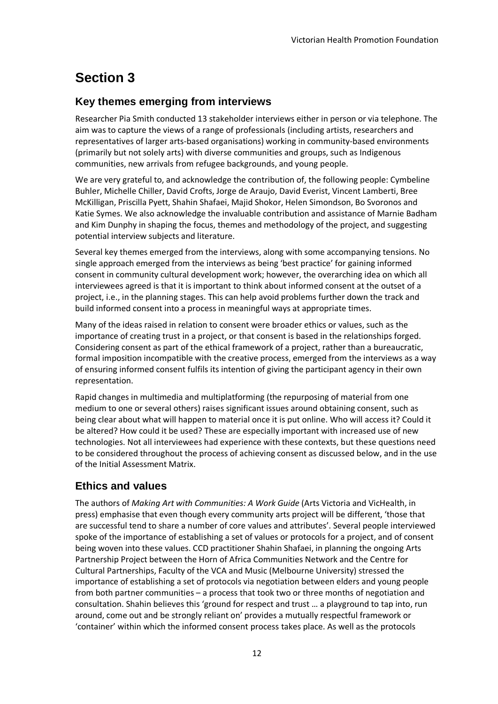# <span id="page-12-0"></span>**Section 3**

#### <span id="page-12-1"></span>**Key themes emerging from interviews**

Researcher Pia Smith conducted 13 stakeholder interviews either in person or via telephone. The aim was to capture the views of a range of professionals (including artists, researchers and representatives of larger arts-based organisations) working in community-based environments (primarily but not solely arts) with diverse communities and groups, such as Indigenous communities, new arrivals from refugee backgrounds, and young people.

We are very grateful to, and acknowledge the contribution of, the following people: Cymbeline Buhler, Michelle Chiller, David Crofts, Jorge de Araujo, David Everist, Vincent Lamberti, Bree McKilligan, Priscilla Pyett, Shahin Shafaei, Majid Shokor, Helen Simondson, Bo Svoronos and Katie Symes. We also acknowledge the invaluable contribution and assistance of Marnie Badham and Kim Dunphy in shaping the focus, themes and methodology of the project, and suggesting potential interview subjects and literature.

Several key themes emerged from the interviews, along with some accompanying tensions. No single approach emerged from the interviews as being 'best practice' for gaining informed consent in community cultural development work; however, the overarching idea on which all interviewees agreed is that it is important to think about informed consent at the outset of a project, i.e., in the planning stages. This can help avoid problems further down the track and build informed consent into a process in meaningful ways at appropriate times.

Many of the ideas raised in relation to consent were broader ethics or values, such as the importance of creating trust in a project, or that consent is based in the relationships forged. Considering consent as part of the ethical framework of a project, rather than a bureaucratic, formal imposition incompatible with the creative process, emerged from the interviews as a way of ensuring informed consent fulfils its intention of giving the participant agency in their own representation.

Rapid changes in multimedia and multiplatforming (the repurposing of material from one medium to one or several others) raises significant issues around obtaining consent, such as being clear about what will happen to material once it is put online. Who will access it? Could it be altered? How could it be used? These are especially important with increased use of new technologies. Not all interviewees had experience with these contexts, but these questions need to be considered throughout the process of achieving consent as discussed below, and in the use of the Initial Assessment Matrix.

#### <span id="page-12-2"></span>**Ethics and values**

The authors of *Making Art with Communities: A Work Guide* (Arts Victoria and VicHealth, in press) emphasise that even though every community arts project will be different, 'those that are successful tend to share a number of core values and attributes'. Several people interviewed spoke of the importance of establishing a set of values or protocols for a project, and of consent being woven into these values. CCD practitioner Shahin Shafaei, in planning the ongoing Arts Partnership Project between the Horn of Africa Communities Network and the Centre for Cultural Partnerships, Faculty of the VCA and Music (Melbourne University) stressed the importance of establishing a set of protocols via negotiation between elders and young people from both partner communities – a process that took two or three months of negotiation and consultation. Shahin believes this 'ground for respect and trust … a playground to tap into, run around, come out and be strongly reliant on' provides a mutually respectful framework or 'container' within which the informed consent process takes place. As well as the protocols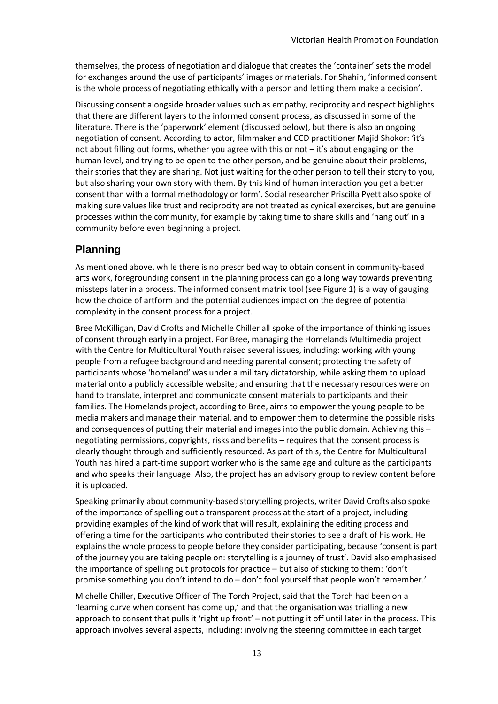themselves, the process of negotiation and dialogue that creates the 'container' sets the model for exchanges around the use of participants' images or materials. For Shahin, 'informed consent is the whole process of negotiating ethically with a person and letting them make a decision'.

Discussing consent alongside broader values such as empathy, reciprocity and respect highlights that there are different layers to the informed consent process, as discussed in some of the literature. There is the 'paperwork' element (discussed below), but there is also an ongoing negotiation of consent. According to actor, filmmaker and CCD practitioner Majid Shokor: 'it's not about filling out forms, whether you agree with this or not – it's about engaging on the human level, and trying to be open to the other person, and be genuine about their problems, their stories that they are sharing. Not just waiting for the other person to tell their story to you, but also sharing your own story with them. By this kind of human interaction you get a better consent than with a formal methodology or form'. Social researcher Priscilla Pyett also spoke of making sure values like trust and reciprocity are not treated as cynical exercises, but are genuine processes within the community, for example by taking time to share skills and 'hang out' in a community before even beginning a project.

#### <span id="page-13-0"></span>**Planning**

As mentioned above, while there is no prescribed way to obtain consent in community-based arts work, foregrounding consent in the planning process can go a long way towards preventing missteps later in a process. The informed consent matrix tool (see Figure 1) is a way of gauging how the choice of artform and the potential audiences impact on the degree of potential complexity in the consent process for a project.

Bree McKilligan, David Crofts and Michelle Chiller all spoke of the importance of thinking issues of consent through early in a project. For Bree, managing the Homelands Multimedia project with the Centre for Multicultural Youth raised several issues, including: working with young people from a refugee background and needing parental consent; protecting the safety of participants whose 'homeland' was under a military dictatorship, while asking them to upload material onto a publicly accessible website; and ensuring that the necessary resources were on hand to translate, interpret and communicate consent materials to participants and their families. The Homelands project, according to Bree, aims to empower the young people to be media makers and manage their material, and to empower them to determine the possible risks and consequences of putting their material and images into the public domain. Achieving this – negotiating permissions, copyrights, risks and benefits – requires that the consent process is clearly thought through and sufficiently resourced. As part of this, the Centre for Multicultural Youth has hired a part-time support worker who is the same age and culture as the participants and who speaks their language. Also, the project has an advisory group to review content before it is uploaded.

Speaking primarily about community-based storytelling projects, writer David Crofts also spoke of the importance of spelling out a transparent process at the start of a project, including providing examples of the kind of work that will result, explaining the editing process and offering a time for the participants who contributed their stories to see a draft of his work. He explains the whole process to people before they consider participating, because 'consent is part of the journey you are taking people on: storytelling is a journey of trust'. David also emphasised the importance of spelling out protocols for practice – but also of sticking to them: 'don't promise something you don't intend to do – don't fool yourself that people won't remember.'

Michelle Chiller, Executive Officer of The Torch Project, said that the Torch had been on a 'learning curve when consent has come up,' and that the organisation was trialling a new approach to consent that pulls it 'right up front' – not putting it off until later in the process. This approach involves several aspects, including: involving the steering committee in each target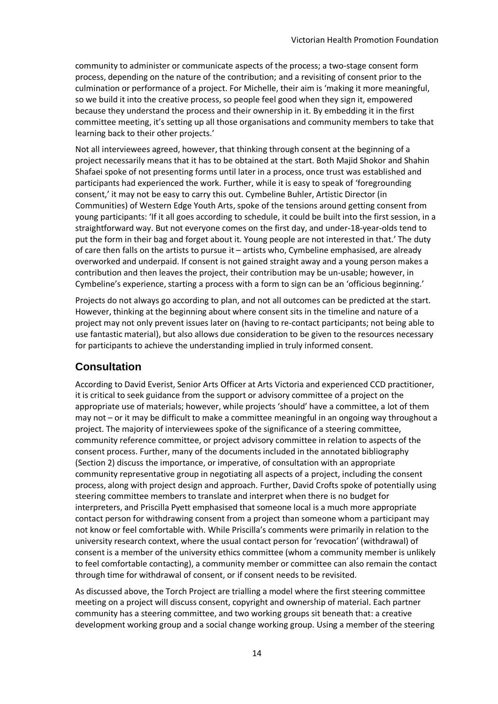community to administer or communicate aspects of the process; a two-stage consent form process, depending on the nature of the contribution; and a revisiting of consent prior to the culmination or performance of a project. For Michelle, their aim is 'making it more meaningful, so we build it into the creative process, so people feel good when they sign it, empowered because they understand the process and their ownership in it. By embedding it in the first committee meeting, it's setting up all those organisations and community members to take that learning back to their other projects.'

Not all interviewees agreed, however, that thinking through consent at the beginning of a project necessarily means that it has to be obtained at the start. Both Majid Shokor and Shahin Shafaei spoke of not presenting forms until later in a process, once trust was established and participants had experienced the work. Further, while it is easy to speak of 'foregrounding consent,' it may not be easy to carry this out. Cymbeline Buhler, Artistic Director (in Communities) of Western Edge Youth Arts, spoke of the tensions around getting consent from young participants: 'If it all goes according to schedule, it could be built into the first session, in a straightforward way. But not everyone comes on the first day, and under-18-year-olds tend to put the form in their bag and forget about it. Young people are not interested in that.' The duty of care then falls on the artists to pursue it – artists who, Cymbeline emphasised, are already overworked and underpaid. If consent is not gained straight away and a young person makes a contribution and then leaves the project, their contribution may be un-usable; however, in Cymbeline's experience, starting a process with a form to sign can be an 'officious beginning.'

Projects do not always go according to plan, and not all outcomes can be predicted at the start. However, thinking at the beginning about where consent sits in the timeline and nature of a project may not only prevent issues later on (having to re-contact participants; not being able to use fantastic material), but also allows due consideration to be given to the resources necessary for participants to achieve the understanding implied in truly informed consent.

#### <span id="page-14-0"></span>**Consultation**

According to David Everist, Senior Arts Officer at Arts Victoria and experienced CCD practitioner, it is critical to seek guidance from the support or advisory committee of a project on the appropriate use of materials; however, while projects 'should' have a committee, a lot of them may not – or it may be difficult to make a committee meaningful in an ongoing way throughout a project. The majority of interviewees spoke of the significance of a steering committee, community reference committee, or project advisory committee in relation to aspects of the consent process. Further, many of the documents included in the annotated bibliography (Section 2) discuss the importance, or imperative, of consultation with an appropriate community representative group in negotiating all aspects of a project, including the consent process, along with project design and approach. Further, David Crofts spoke of potentially using steering committee members to translate and interpret when there is no budget for interpreters, and Priscilla Pyett emphasised that someone local is a much more appropriate contact person for withdrawing consent from a project than someone whom a participant may not know or feel comfortable with. While Priscilla's comments were primarily in relation to the university research context, where the usual contact person for 'revocation' (withdrawal) of consent is a member of the university ethics committee (whom a community member is unlikely to feel comfortable contacting), a community member or committee can also remain the contact through time for withdrawal of consent, or if consent needs to be revisited.

As discussed above, the Torch Project are trialling a model where the first steering committee meeting on a project will discuss consent, copyright and ownership of material. Each partner community has a steering committee, and two working groups sit beneath that: a creative development working group and a social change working group. Using a member of the steering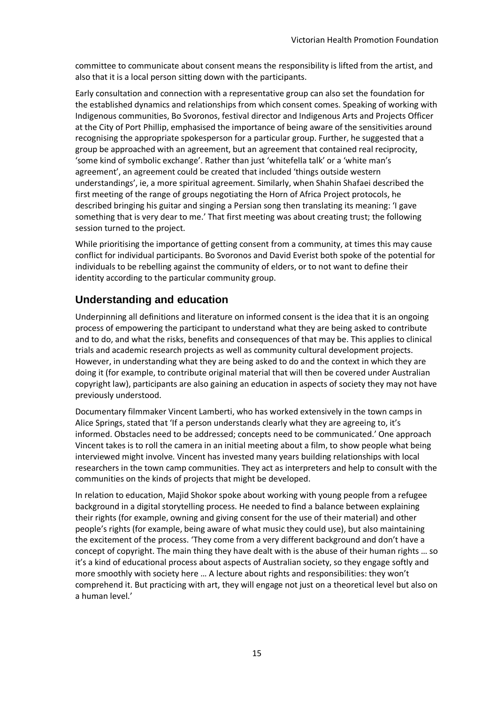committee to communicate about consent means the responsibility is lifted from the artist, and also that it is a local person sitting down with the participants.

Early consultation and connection with a representative group can also set the foundation for the established dynamics and relationships from which consent comes. Speaking of working with Indigenous communities, Bo Svoronos, festival director and Indigenous Arts and Projects Officer at the City of Port Phillip, emphasised the importance of being aware of the sensitivities around recognising the appropriate spokesperson for a particular group. Further, he suggested that a group be approached with an agreement, but an agreement that contained real reciprocity, 'some kind of symbolic exchange'. Rather than just 'whitefella talk' or a 'white man's agreement', an agreement could be created that included 'things outside western understandings', ie, a more spiritual agreement. Similarly, when Shahin Shafaei described the first meeting of the range of groups negotiating the Horn of Africa Project protocols, he described bringing his guitar and singing a Persian song then translating its meaning: 'I gave something that is very dear to me.' That first meeting was about creating trust; the following session turned to the project.

While prioritising the importance of getting consent from a community, at times this may cause conflict for individual participants. Bo Svoronos and David Everist both spoke of the potential for individuals to be rebelling against the community of elders, or to not want to define their identity according to the particular community group.

#### <span id="page-15-0"></span>**Understanding and education**

Underpinning all definitions and literature on informed consent is the idea that it is an ongoing process of empowering the participant to understand what they are being asked to contribute and to do, and what the risks, benefits and consequences of that may be. This applies to clinical trials and academic research projects as well as community cultural development projects. However, in understanding what they are being asked to do and the context in which they are doing it (for example, to contribute original material that will then be covered under Australian copyright law), participants are also gaining an education in aspects of society they may not have previously understood.

Documentary filmmaker Vincent Lamberti, who has worked extensively in the town camps in Alice Springs, stated that 'If a person understands clearly what they are agreeing to, it's informed. Obstacles need to be addressed; concepts need to be communicated.' One approach Vincent takes is to roll the camera in an initial meeting about a film, to show people what being interviewed might involve. Vincent has invested many years building relationships with local researchers in the town camp communities. They act as interpreters and help to consult with the communities on the kinds of projects that might be developed.

In relation to education, Majid Shokor spoke about working with young people from a refugee background in a digital storytelling process. He needed to find a balance between explaining their rights (for example, owning and giving consent for the use of their material) and other people's rights (for example, being aware of what music they could use), but also maintaining the excitement of the process. 'They come from a very different background and don't have a concept of copyright. The main thing they have dealt with is the abuse of their human rights … so it's a kind of educational process about aspects of Australian society, so they engage softly and more smoothly with society here … A lecture about rights and responsibilities: they won't comprehend it. But practicing with art, they will engage not just on a theoretical level but also on a human level.'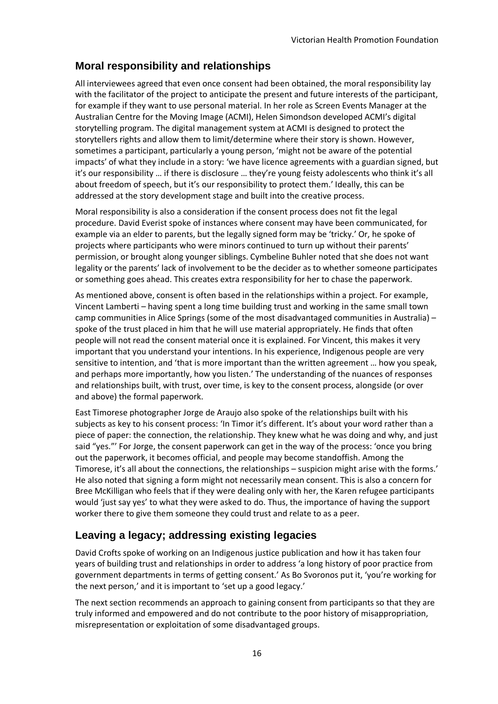#### <span id="page-16-0"></span>**Moral responsibility and relationships**

All interviewees agreed that even once consent had been obtained, the moral responsibility lay with the facilitator of the project to anticipate the present and future interests of the participant, for example if they want to use personal material. In her role as Screen Events Manager at the Australian Centre for the Moving Image (ACMI), Helen Simondson developed ACMI's digital storytelling program. The digital management system at ACMI is designed to protect the storytellers rights and allow them to limit/determine where their story is shown. However, sometimes a participant, particularly a young person, 'might not be aware of the potential impacts' of what they include in a story: 'we have licence agreements with a guardian signed, but it's our responsibility … if there is disclosure … they're young feisty adolescents who think it's all about freedom of speech, but it's our responsibility to protect them.' Ideally, this can be addressed at the story development stage and built into the creative process.

Moral responsibility is also a consideration if the consent process does not fit the legal procedure. David Everist spoke of instances where consent may have been communicated, for example via an elder to parents, but the legally signed form may be 'tricky.' Or, he spoke of projects where participants who were minors continued to turn up without their parents' permission, or brought along younger siblings. Cymbeline Buhler noted that she does not want legality or the parents' lack of involvement to be the decider as to whether someone participates or something goes ahead. This creates extra responsibility for her to chase the paperwork.

As mentioned above, consent is often based in the relationships within a project. For example, Vincent Lamberti – having spent a long time building trust and working in the same small town camp communities in Alice Springs (some of the most disadvantaged communities in Australia) – spoke of the trust placed in him that he will use material appropriately. He finds that often people will not read the consent material once it is explained. For Vincent, this makes it very important that you understand your intentions. In his experience, Indigenous people are very sensitive to intention, and 'that is more important than the written agreement … how you speak, and perhaps more importantly, how you listen.' The understanding of the nuances of responses and relationships built, with trust, over time, is key to the consent process, alongside (or over and above) the formal paperwork.

East Timorese photographer Jorge de Araujo also spoke of the relationships built with his subjects as key to his consent process: 'In Timor it's different. It's about your word rather than a piece of paper: the connection, the relationship. They knew what he was doing and why, and just said "yes."' For Jorge, the consent paperwork can get in the way of the process: 'once you bring out the paperwork, it becomes official, and people may become standoffish. Among the Timorese, it's all about the connections, the relationships – suspicion might arise with the forms.' He also noted that signing a form might not necessarily mean consent. This is also a concern for Bree McKilligan who feels that if they were dealing only with her, the Karen refugee participants would 'just say yes' to what they were asked to do. Thus, the importance of having the support worker there to give them someone they could trust and relate to as a peer.

#### <span id="page-16-1"></span>**Leaving a legacy; addressing existing legacies**

David Crofts spoke of working on an Indigenous justice publication and how it has taken four years of building trust and relationships in order to address 'a long history of poor practice from government departments in terms of getting consent.' As Bo Svoronos put it, 'you're working for the next person,' and it is important to 'set up a good legacy.'

The next section recommends an approach to gaining consent from participants so that they are truly informed and empowered and do not contribute to the poor history of misappropriation, misrepresentation or exploitation of some disadvantaged groups.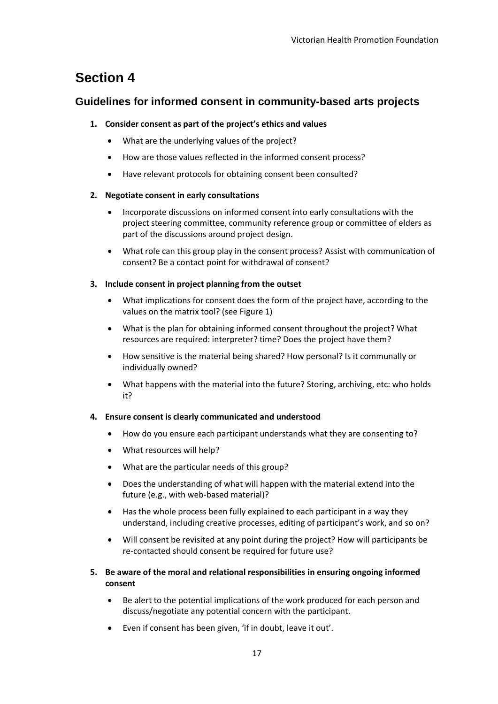### <span id="page-17-0"></span>**Section 4**

#### <span id="page-17-1"></span>**Guidelines for informed consent in community-based arts projects**

#### **1. Consider consent as part of the project's ethics and values**

- What are the underlying values of the project?
- How are those values reflected in the informed consent process?
- Have relevant protocols for obtaining consent been consulted?

#### **2. Negotiate consent in early consultations**

- Incorporate discussions on informed consent into early consultations with the project steering committee, community reference group or committee of elders as part of the discussions around project design.
- What role can this group play in the consent process? Assist with communication of consent? Be a contact point for withdrawal of consent?

#### **3. Include consent in project planning from the outset**

- What implications for consent does the form of the project have, according to the values on the matrix tool? (see Figure 1)
- What is the plan for obtaining informed consent throughout the project? What resources are required: interpreter? time? Does the project have them?
- How sensitive is the material being shared? How personal? Is it communally or individually owned?
- What happens with the material into the future? Storing, archiving, etc: who holds it?

#### **4. Ensure consent is clearly communicated and understood**

- How do you ensure each participant understands what they are consenting to?
- What resources will help?
- What are the particular needs of this group?
- Does the understanding of what will happen with the material extend into the future (e.g., with web-based material)?
- Has the whole process been fully explained to each participant in a way they understand, including creative processes, editing of participant's work, and so on?
- Will consent be revisited at any point during the project? How will participants be re-contacted should consent be required for future use?
- **5. Be aware of the moral and relational responsibilities in ensuring ongoing informed consent**
	- Be alert to the potential implications of the work produced for each person and discuss/negotiate any potential concern with the participant.
	- Even if consent has been given, 'if in doubt, leave it out'.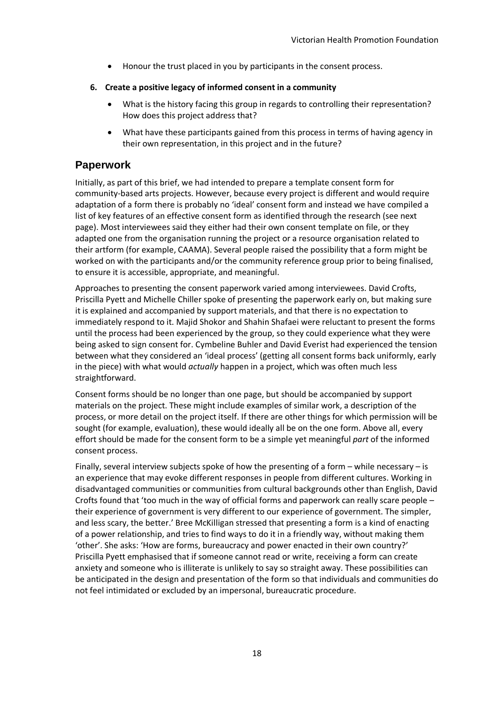- Honour the trust placed in you by participants in the consent process.
- **6. Create a positive legacy of informed consent in a community**
	- What is the history facing this group in regards to controlling their representation? How does this project address that?
	- What have these participants gained from this process in terms of having agency in their own representation, in this project and in the future?

#### <span id="page-18-0"></span>**Paperwork**

Initially, as part of this brief, we had intended to prepare a template consent form for community-based arts projects. However, because every project is different and would require adaptation of a form there is probably no 'ideal' consent form and instead we have compiled a list of key features of an effective consent form as identified through the research (see next page). Most interviewees said they either had their own consent template on file, or they adapted one from the organisation running the project or a resource organisation related to their artform (for example, CAAMA). Several people raised the possibility that a form might be worked on with the participants and/or the community reference group prior to being finalised, to ensure it is accessible, appropriate, and meaningful.

Approaches to presenting the consent paperwork varied among interviewees. David Crofts, Priscilla Pyett and Michelle Chiller spoke of presenting the paperwork early on, but making sure it is explained and accompanied by support materials, and that there is no expectation to immediately respond to it. Majid Shokor and Shahin Shafaei were reluctant to present the forms until the process had been experienced by the group, so they could experience what they were being asked to sign consent for. Cymbeline Buhler and David Everist had experienced the tension between what they considered an 'ideal process' (getting all consent forms back uniformly, early in the piece) with what would *actually* happen in a project, which was often much less straightforward.

Consent forms should be no longer than one page, but should be accompanied by support materials on the project. These might include examples of similar work, a description of the process, or more detail on the project itself. If there are other things for which permission will be sought (for example, evaluation), these would ideally all be on the one form. Above all, every effort should be made for the consent form to be a simple yet meaningful *part* of the informed consent process.

Finally, several interview subjects spoke of how the presenting of a form – while necessary – is an experience that may evoke different responses in people from different cultures. Working in disadvantaged communities or communities from cultural backgrounds other than English, David Crofts found that 'too much in the way of official forms and paperwork can really scare people – their experience of government is very different to our experience of government. The simpler, and less scary, the better.' Bree McKilligan stressed that presenting a form is a kind of enacting of a power relationship, and tries to find ways to do it in a friendly way, without making them 'other'. She asks: 'How are forms, bureaucracy and power enacted in their own country?' Priscilla Pyett emphasised that if someone cannot read or write, receiving a form can create anxiety and someone who is illiterate is unlikely to say so straight away. These possibilities can be anticipated in the design and presentation of the form so that individuals and communities do not feel intimidated or excluded by an impersonal, bureaucratic procedure.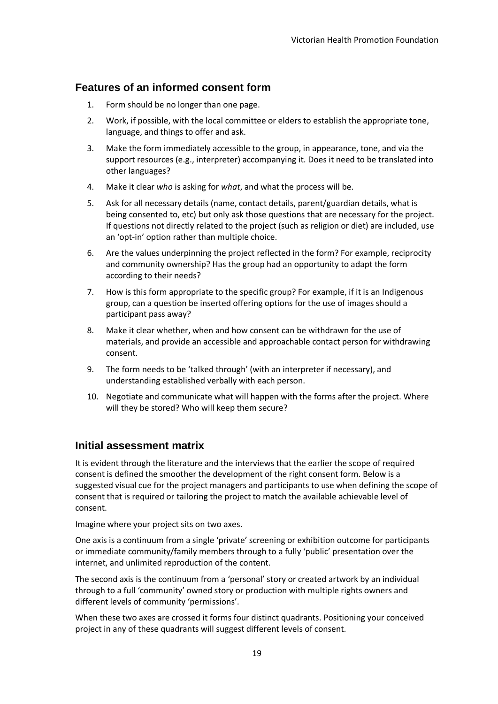#### <span id="page-19-0"></span>**Features of an informed consent form**

- 1. Form should be no longer than one page.
- 2. Work, if possible, with the local committee or elders to establish the appropriate tone, language, and things to offer and ask.
- 3. Make the form immediately accessible to the group, in appearance, tone, and via the support resources (e.g., interpreter) accompanying it. Does it need to be translated into other languages?
- 4. Make it clear *who* is asking for *what*, and what the process will be.
- 5. Ask for all necessary details (name, contact details, parent/guardian details, what is being consented to, etc) but only ask those questions that are necessary for the project. If questions not directly related to the project (such as religion or diet) are included, use an 'opt-in' option rather than multiple choice.
- 6. Are the values underpinning the project reflected in the form? For example, reciprocity and community ownership? Has the group had an opportunity to adapt the form according to their needs?
- 7. How is this form appropriate to the specific group? For example, if it is an Indigenous group, can a question be inserted offering options for the use of images should a participant pass away?
- 8. Make it clear whether, when and how consent can be withdrawn for the use of materials, and provide an accessible and approachable contact person for withdrawing consent.
- 9. The form needs to be 'talked through' (with an interpreter if necessary), and understanding established verbally with each person.
- 10. Negotiate and communicate what will happen with the forms after the project. Where will they be stored? Who will keep them secure?

#### <span id="page-19-1"></span>**Initial assessment matrix**

It is evident through the literature and the interviews that the earlier the scope of required consent is defined the smoother the development of the right consent form. Below is a suggested visual cue for the project managers and participants to use when defining the scope of consent that is required or tailoring the project to match the available achievable level of consent.

Imagine where your project sits on two axes.

One axis is a continuum from a single 'private' screening or exhibition outcome for participants or immediate community/family members through to a fully 'public' presentation over the internet, and unlimited reproduction of the content.

The second axis is the continuum from a 'personal' story or created artwork by an individual through to a full 'community' owned story or production with multiple rights owners and different levels of community 'permissions'.

When these two axes are crossed it forms four distinct quadrants. Positioning your conceived project in any of these quadrants will suggest different levels of consent.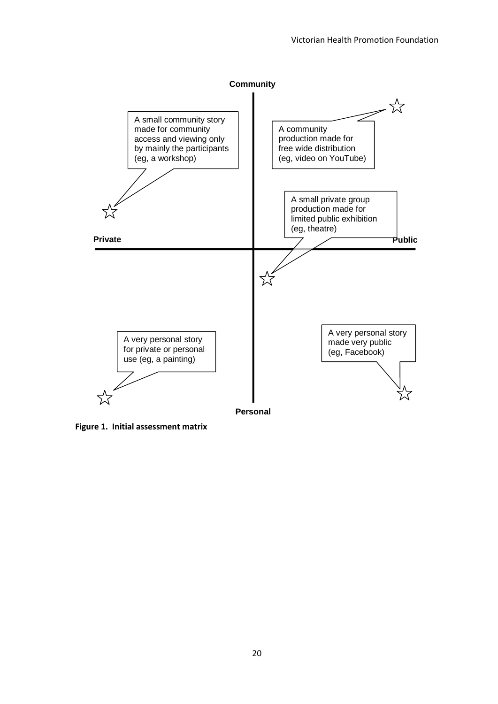

**Figure 1. Initial assessment matrix**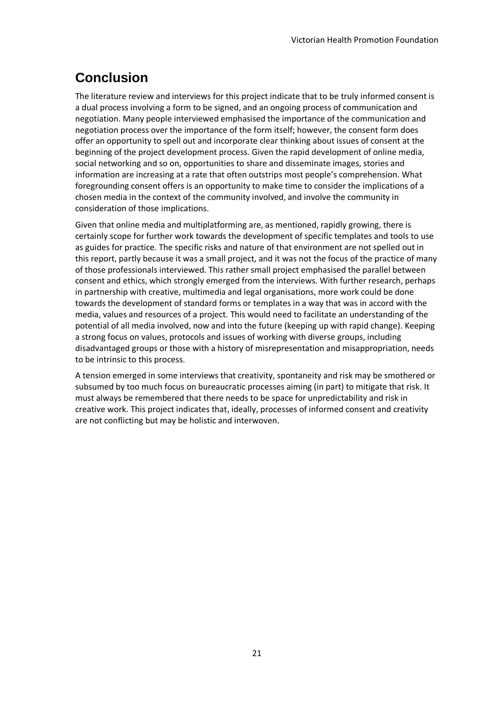# <span id="page-21-0"></span>**Conclusion**

The literature review and interviews for this project indicate that to be truly informed consent is a dual process involving a form to be signed, and an ongoing process of communication and negotiation. Many people interviewed emphasised the importance of the communication and negotiation process over the importance of the form itself; however, the consent form does offer an opportunity to spell out and incorporate clear thinking about issues of consent at the beginning of the project development process. Given the rapid development of online media, social networking and so on, opportunities to share and disseminate images, stories and information are increasing at a rate that often outstrips most people's comprehension. What foregrounding consent offers is an opportunity to make time to consider the implications of a chosen media in the context of the community involved, and involve the community in consideration of those implications.

Given that online media and multiplatforming are, as mentioned, rapidly growing, there is certainly scope for further work towards the development of specific templates and tools to use as guides for practice. The specific risks and nature of that environment are not spelled out in this report, partly because it was a small project, and it was not the focus of the practice of many of those professionals interviewed. This rather small project emphasised the parallel between consent and ethics, which strongly emerged from the interviews. With further research, perhaps in partnership with creative, multimedia and legal organisations, more work could be done towards the development of standard forms or templates in a way that was in accord with the media, values and resources of a project. This would need to facilitate an understanding of the potential of all media involved, now and into the future (keeping up with rapid change). Keeping a strong focus on values, protocols and issues of working with diverse groups, including disadvantaged groups or those with a history of misrepresentation and misappropriation, needs to be intrinsic to this process.

A tension emerged in some interviews that creativity, spontaneity and risk may be smothered or subsumed by too much focus on bureaucratic processes aiming (in part) to mitigate that risk. It must always be remembered that there needs to be space for unpredictability and risk in creative work. This project indicates that, ideally, processes of informed consent and creativity are not conflicting but may be holistic and interwoven.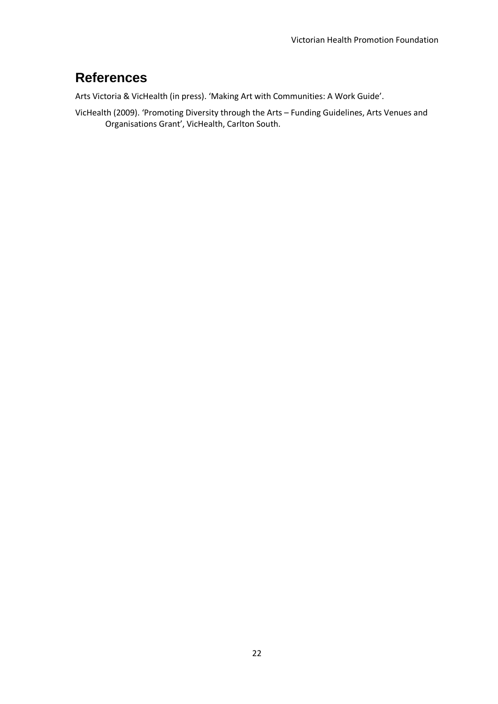## <span id="page-22-0"></span>**References**

Arts Victoria & VicHealth (in press). 'Making Art with Communities: A Work Guide'.

VicHealth (2009). 'Promoting Diversity through the Arts – Funding Guidelines, Arts Venues and Organisations Grant', VicHealth, Carlton South.